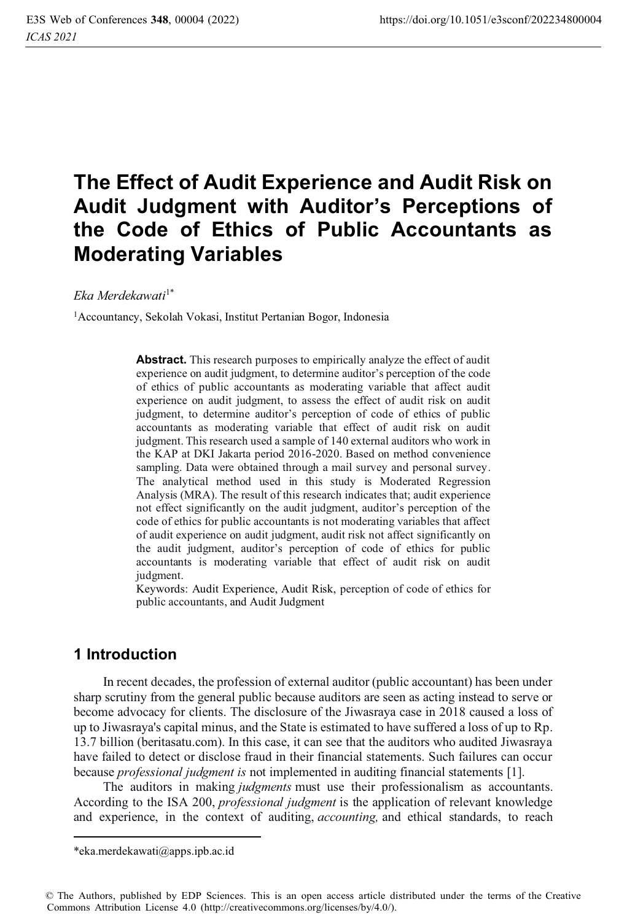# **The Effect of Audit Experience and Audit Risk on Audit Judgment with Auditor's Perceptions of the Code of Ethics of Public Accountants as Moderating Variables**

*Eka Merdekawati*1\*

1Accountancy, Sekolah Vokasi, Institut Pertanian Bogor, Indonesia

**Abstract.** This research purposes to empirically analyze the effect of audit experience on audit judgment, to determine auditor's perception of the code of ethics of public accountants as moderating variable that affect audit experience on audit judgment, to assess the effect of audit risk on audit judgment, to determine auditor's perception of code of ethics of public accountants as moderating variable that effect of audit risk on audit judgment. This research used a sample of 140 external auditors who work in the KAP at DKI Jakarta period 2016-2020. Based on method convenience sampling. Data were obtained through a mail survey and personal survey. The analytical method used in this study is Moderated Regression Analysis (MRA). The result of this research indicates that; audit experience not effect significantly on the audit judgment, auditor's perception of the code of ethics for public accountants is not moderating variables that affect of audit experience on audit judgment, audit risk not affect significantly on the audit judgment, auditor's perception of code of ethics for public accountants is moderating variable that effect of audit risk on audit judgment.

Keywords: Audit Experience, Audit Risk, perception of code of ethics for public accountants, and Audit Judgment

# **1 Introduction**

In recent decades, the profession of external auditor (public accountant) has been under sharp scrutiny from the general public because auditors are seen as acting instead to serve or become advocacy for clients. The disclosure of the Jiwasraya case in 2018 caused a loss of up to Jiwasraya's capital minus, and the State is estimated to have suffered a loss of up to Rp. 13.7 billion (beritasatu.com). In this case, it can see that the auditors who audited Jiwasraya have failed to detect or disclose fraud in their financial statements. Such failures can occur because *professional judgment is* not implemented in auditing financial statements [1].

The auditors in making *judgments* must use their professionalism as accountants. According to the ISA 200, *professional judgment* is the application of relevant knowledge and experience, in the context of auditing, *accounting,* and ethical standards, to reach

<sup>\*</sup>eka.merdekawati@apps.ipb.ac.id

<sup>©</sup> The Authors, published by EDP Sciences. This is an open access article distributed under the terms of the Creative Commons Attribution License 4.0 (http://creativecommons.org/licenses/by/4.0/).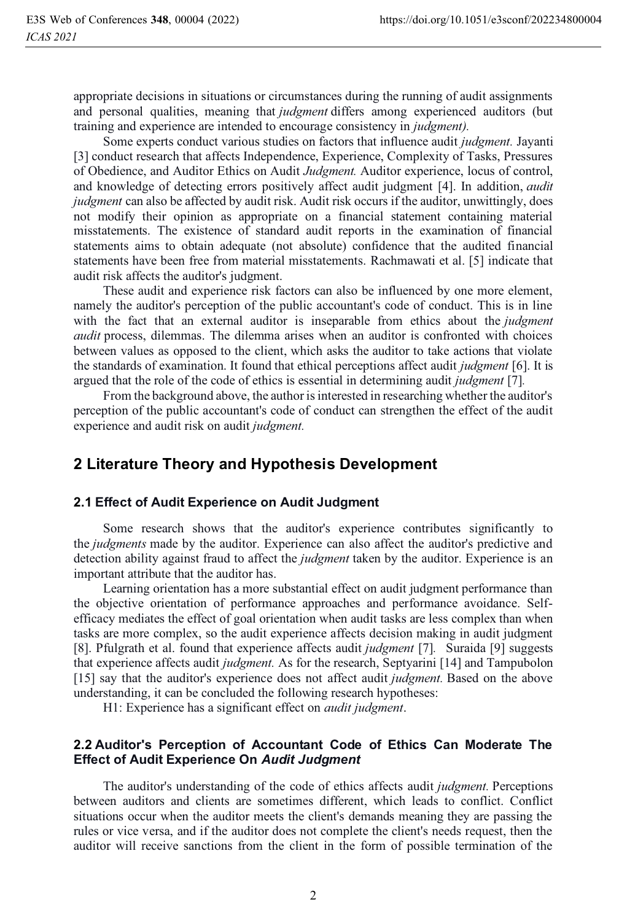appropriate decisions in situations or circumstances during the running of audit assignments and personal qualities, meaning that *judgment* differs among experienced auditors (but training and experience are intended to encourage consistency in *judgment).* 

Some experts conduct various studies on factors that influence audit *judgment.* Jayanti [3] conduct research that affects Independence, Experience, Complexity of Tasks, Pressures of Obedience, and Auditor Ethics on Audit *Judgment.* Auditor experience, locus of control, and knowledge of detecting errors positively affect audit judgment [4]. In addition, *audit judgment* can also be affected by audit risk. Audit risk occurs if the auditor, unwittingly, does not modify their opinion as appropriate on a financial statement containing material misstatements. The existence of standard audit reports in the examination of financial statements aims to obtain adequate (not absolute) confidence that the audited financial statements have been free from material misstatements. Rachmawati et al. [5] indicate that audit risk affects the auditor's judgment.

These audit and experience risk factors can also be influenced by one more element, namely the auditor's perception of the public accountant's code of conduct. This is in line with the fact that an external auditor is inseparable from ethics about the *judgment audit* process, dilemmas. The dilemma arises when an auditor is confronted with choices between values as opposed to the client, which asks the auditor to take actions that violate the standards of examination. It found that ethical perceptions affect audit *judgment* [6]. It is argued that the role of the code of ethics is essential in determining audit *judgment* [7]*.*

From the background above, the author is interested in researching whether the auditor's perception of the public accountant's code of conduct can strengthen the effect of the audit experience and audit risk on audit *judgment.* 

# **2 Literature Theory and Hypothesis Development**

#### **2.1 Effect of Audit Experience on Audit Judgment**

Some research shows that the auditor's experience contributes significantly to the *judgments* made by the auditor. Experience can also affect the auditor's predictive and detection ability against fraud to affect the *judgment* taken by the auditor. Experience is an important attribute that the auditor has.

Learning orientation has a more substantial effect on audit judgment performance than the objective orientation of performance approaches and performance avoidance. Selfefficacy mediates the effect of goal orientation when audit tasks are less complex than when tasks are more complex, so the audit experience affects decision making in audit judgment [8]. Pfulgrath et al. found that experience affects audit *judgment* [7]*.* Suraida [9] suggests that experience affects audit *judgment.* As for the research, Septyarini [14] and Tampubolon [15] say that the auditor's experience does not affect audit *judgment.* Based on the above understanding, it can be concluded the following research hypotheses:

H1: Experience has a significant effect on *audit judgment*.

#### **2.2 Auditor's Perception of Accountant Code of Ethics Can Moderate The Effect of Audit Experience On** *Audit Judgment*

The auditor's understanding of the code of ethics affects audit *judgment.* Perceptions between auditors and clients are sometimes different, which leads to conflict. Conflict situations occur when the auditor meets the client's demands meaning they are passing the rules or vice versa, and if the auditor does not complete the client's needs request, then the auditor will receive sanctions from the client in the form of possible termination of the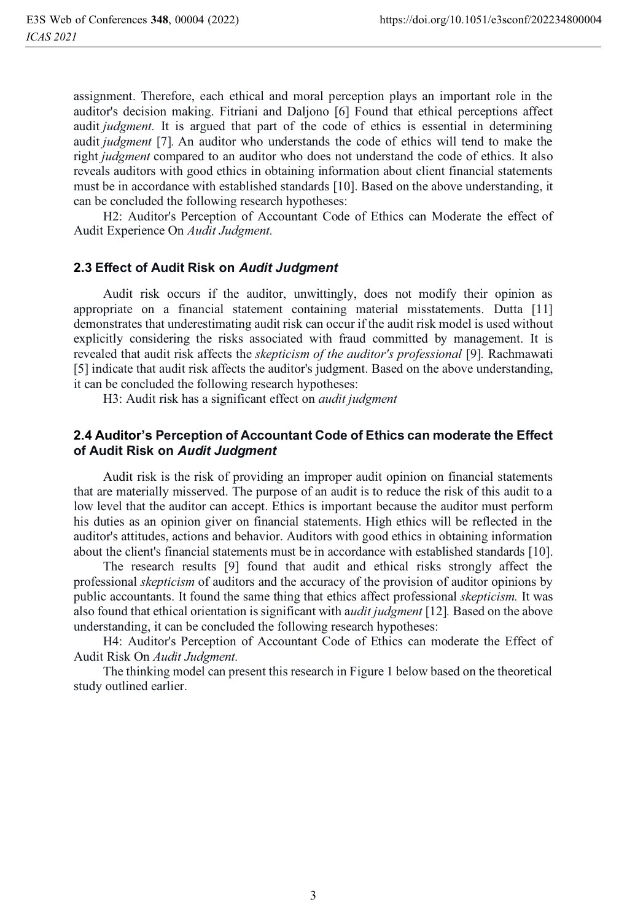assignment. Therefore, each ethical and moral perception plays an important role in the auditor's decision making. Fitriani and Daljono [6] Found that ethical perceptions affect audit *judgment.* It is argued that part of the code of ethics is essential in determining audit *judgment* [7]*.* An auditor who understands the code of ethics will tend to make the right *judgment* compared to an auditor who does not understand the code of ethics. It also reveals auditors with good ethics in obtaining information about client financial statements must be in accordance with established standards [10]. Based on the above understanding, it can be concluded the following research hypotheses:

H2: Auditor's Perception of Accountant Code of Ethics can Moderate the effect of Audit Experience On *Audit Judgment.*

#### **2.3 Effect of Audit Risk on** *Audit Judgment*

Audit risk occurs if the auditor, unwittingly, does not modify their opinion as appropriate on a financial statement containing material misstatements. Dutta [11] demonstrates that underestimating audit risk can occur if the audit risk model is used without explicitly considering the risks associated with fraud committed by management. It is revealed that audit risk affects the *skepticism of the auditor's professional* [9]*.* Rachmawati [5] indicate that audit risk affects the auditor's judgment. Based on the above understanding, it can be concluded the following research hypotheses:

H3: Audit risk has a significant effect on *audit judgment*

#### **2.4 Auditor's Perception of Accountant Code of Ethics can moderate the Effect of Audit Risk on** *Audit Judgment*

Audit risk is the risk of providing an improper audit opinion on financial statements that are materially misserved. The purpose of an audit is to reduce the risk of this audit to a low level that the auditor can accept. Ethics is important because the auditor must perform his duties as an opinion giver on financial statements. High ethics will be reflected in the auditor's attitudes, actions and behavior. Auditors with good ethics in obtaining information about the client's financial statements must be in accordance with established standards [10].

The research results [9] found that audit and ethical risks strongly affect the professional *skepticism* of auditors and the accuracy of the provision of auditor opinions by public accountants. It found the same thing that ethics affect professional *skepticism.* It was also found that ethical orientation is significant with a*udit judgment* [12]*.* Based on the above understanding, it can be concluded the following research hypotheses:

H4: Auditor's Perception of Accountant Code of Ethics can moderate the Effect of Audit Risk On *Audit Judgment.*

 The thinking model can present this research in Figure 1 below based on the theoretical study outlined earlier.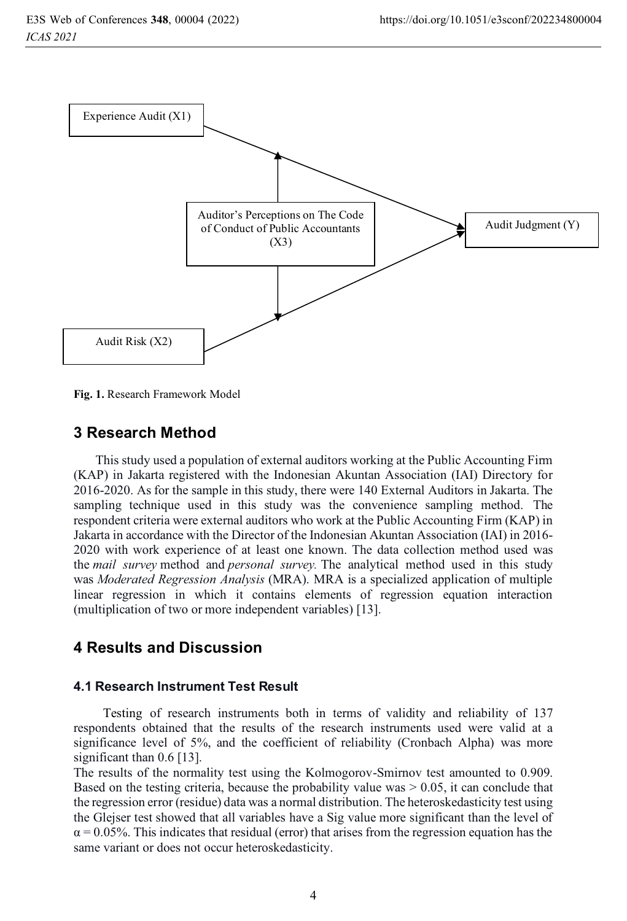

**Fig. 1.** Research Framework Model

# **3 Research Method**

This study used a population of external auditors working at the Public Accounting Firm (KAP) in Jakarta registered with the Indonesian Akuntan Association (IAI) Directory for 2016-2020. As for the sample in this study, there were 140 External Auditors in Jakarta. The sampling technique used in this study was the convenience sampling method. The respondent criteria were external auditors who work at the Public Accounting Firm (KAP) in Jakarta in accordance with the Director of the Indonesian Akuntan Association (IAI) in 2016- 2020 with work experience of at least one known. The data collection method used was the *mail survey* method and *personal survey.* The analytical method used in this study was *Moderated Regression Analysis* (MRA). MRA is a specialized application of multiple linear regression in which it contains elements of regression equation interaction (multiplication of two or more independent variables) [13].

# **4 Results and Discussion**

## **4.1 Research Instrument Test Result**

Testing of research instruments both in terms of validity and reliability of 137 respondents obtained that the results of the research instruments used were valid at a significance level of 5%, and the coefficient of reliability (Cronbach Alpha) was more significant than 0.6 [13].

The results of the normality test using the Kolmogorov-Smirnov test amounted to 0.909. Based on the testing criteria, because the probability value was  $> 0.05$ , it can conclude that the regression error (residue) data was a normal distribution. The heteroskedasticity test using the Glejser test showed that all variables have a Sig value more significant than the level of  $\alpha$  = 0.05%. This indicates that residual (error) that arises from the regression equation has the same variant or does not occur heteroskedasticity.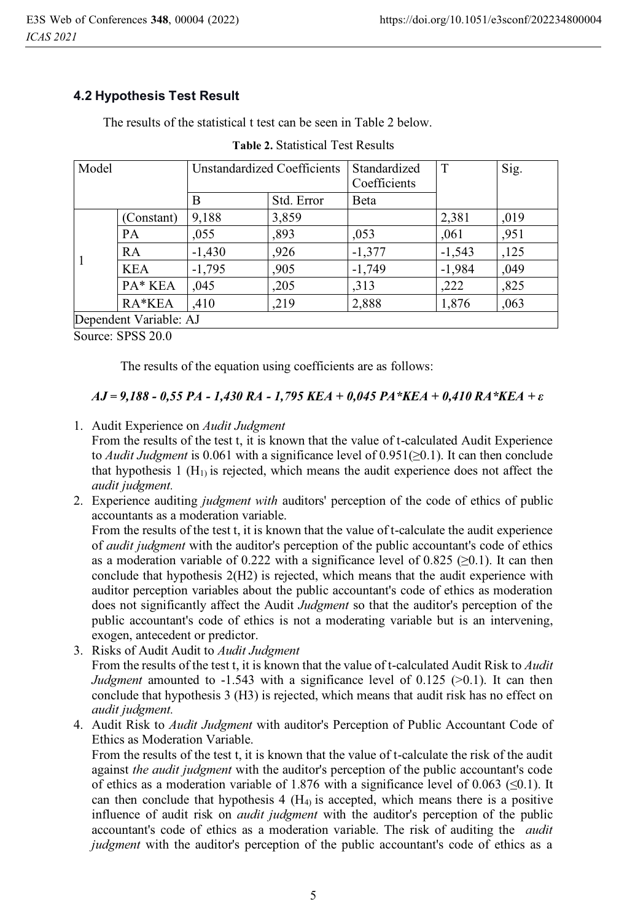# **4.2 Hypothesis Test Result**

The results of the statistical t test can be seen in Table 2 below.

| Model                  |            | Unstandardized Coefficients |            | Standardized<br>Coefficients | T        | Sig. |
|------------------------|------------|-----------------------------|------------|------------------------------|----------|------|
|                        |            | B                           | Std. Error | <b>B</b> eta                 |          |      |
|                        | (Constant) | 9.188                       | 3,859      |                              | 2,381    | .019 |
|                        | <b>PA</b>  | ,055                        | ,893       | ,053                         | ,061     | ,951 |
|                        | <b>RA</b>  | $-1,430$                    | ,926       | $-1,377$                     | $-1,543$ | ,125 |
|                        | <b>KEA</b> | $-1,795$                    | ,905       | $-1,749$                     | $-1,984$ | .049 |
|                        | PA* KEA    | .045                        | ,205       | ,313                         | ,222     | ,825 |
|                        | RA*KEA     | .410                        | ,219       | 2,888                        | 1,876    | ,063 |
| Dependent Variable: AJ |            |                             |            |                              |          |      |

#### **Table 2.** Statistical Test Results

Source: SPSS 20.0

The results of the equation using coefficients are as follows:

## *AJ = 9,188 - 0,55 PA - 1,430 RA - 1,795 KEA + 0,045 PA\*KEA + 0,410 RA\*KEA + ε*

1. Audit Experience on *Audit Judgment*

From the results of the test t, it is known that the value of t-calculated Audit Experience to *Audit Judgment* is 0.061 with a significance level of 0.951(≥0.1). It can then conclude that hypothesis 1 ( $H<sub>1</sub>$ ) is rejected, which means the audit experience does not affect the *audit judgment.*

2. Experience auditing *judgment with* auditors' perception of the code of ethics of public accountants as a moderation variable.

From the results of the test t, it is known that the value of t-calculate the audit experience of *audit judgment* with the auditor's perception of the public accountant's code of ethics as a moderation variable of 0.222 with a significance level of 0.825 ( $\geq$ 0.1). It can then conclude that hypothesis 2(H2) is rejected, which means that the audit experience with auditor perception variables about the public accountant's code of ethics as moderation does not significantly affect the Audit *Judgment* so that the auditor's perception of the public accountant's code of ethics is not a moderating variable but is an intervening, exogen, antecedent or predictor.

- 3. Risks of Audit Audit to *Audit Judgment* From the results of the test t, it is known that the value of t-calculated Audit Risk to *Audit Judgment* amounted to -1.543 with a significance level of 0.125 (>0.1). It can then conclude that hypothesis 3 (H3) is rejected, which means that audit risk has no effect on *audit judgment.*
- 4. Audit Risk to *Audit Judgment* with auditor's Perception of Public Accountant Code of Ethics as Moderation Variable.

From the results of the test t, it is known that the value of t-calculate the risk of the audit against *the audit judgment* with the auditor's perception of the public accountant's code of ethics as a moderation variable of 1.876 with a significance level of 0.063 ( $\leq 0.1$ ). It can then conclude that hypothesis  $4 \times (H_4)$  is accepted, which means there is a positive influence of audit risk on *audit judgment* with the auditor's perception of the public accountant's code of ethics as a moderation variable. The risk of auditing the *audit judgment* with the auditor's perception of the public accountant's code of ethics as a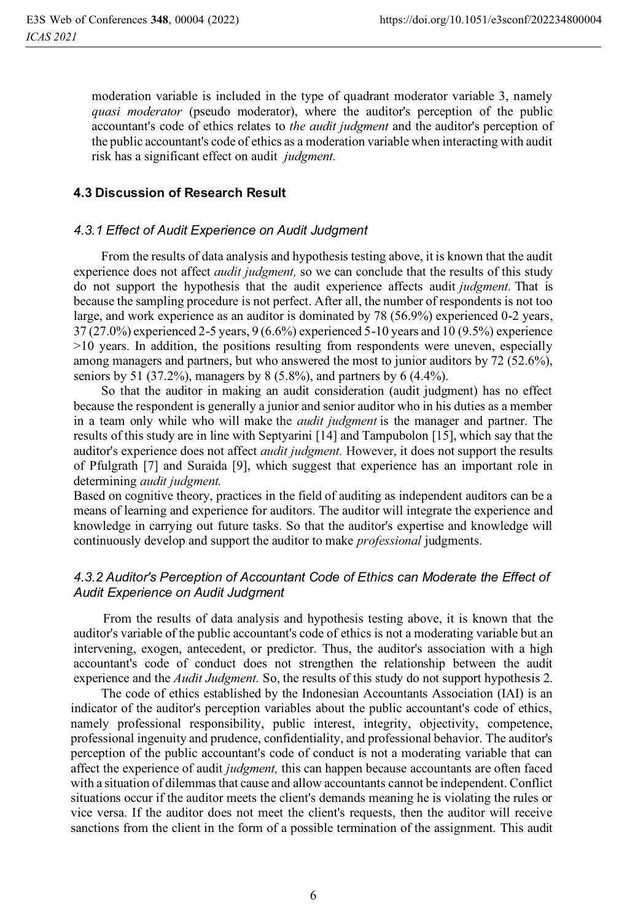moderation variable is included in the type of quadrant moderator variable 3, namely *quasi moderator* (pseudo moderator), where the auditor's perception of the public accountant's code of ethics relates to *the audit judgment* and the auditor's perception of the public accountant's code of ethics as a moderation variable when interacting with audit risk has a significant effect on audit *judgment.*

### **4.3 Discussion of Research Result**

#### *4.3.1 Effect of Audit Experience on Audit Judgment*

From the results of data analysis and hypothesis testing above, it is known that the audit experience does not affect *audit judgment,* so we can conclude that the results of this study do not support the hypothesis that the audit experience affects audit *judgment.* That is because the sampling procedure is not perfect. After all, the number of respondents is not too large, and work experience as an auditor is dominated by 78 (56.9%) experienced 0-2 years, 37 (27.0%) experienced 2-5 years, 9 (6.6%) experienced 5-10 years and 10 (9.5%) experience >10 years. In addition, the positions resulting from respondents were uneven, especially among managers and partners, but who answered the most to junior auditors by 72 (52.6%), seniors by 51 (37.2%), managers by 8 (5.8%), and partners by 6 (4.4%).

 So that the auditor in making an audit consideration (audit judgment) has no effect because the respondent is generally a junior and senior auditor who in his duties as a member in a team only while who will make the *audit judgment* is the manager and partner. The results of this study are in line with Septyarini [14] and Tampubolon [15], which say that the auditor's experience does not affect *audit judgment.* However, it does not support the results of Pfulgrath [7] and Suraida [9], which suggest that experience has an important role in determining *audit judgment.*

Based on cognitive theory, practices in the field of auditing as independent auditors can be a means of learning and experience for auditors. The auditor will integrate the experience and knowledge in carrying out future tasks. So that the auditor's expertise and knowledge will continuously develop and support the auditor to make *professional* judgments.

## *4.3.2 Auditor's Perception of Accountant Code of Ethics can Moderate the Effect of Audit Experience on Audit Judgment*

From the results of data analysis and hypothesis testing above, it is known that the auditor's variable of the public accountant's code of ethics is not a moderating variable but an intervening, exogen, antecedent, or predictor. Thus, the auditor's association with a high accountant's code of conduct does not strengthen the relationship between the audit experience and the *Audit Judgment.* So, the results of this study do not support hypothesis 2.

The code of ethics established by the Indonesian Accountants Association (IAI) is an indicator of the auditor's perception variables about the public accountant's code of ethics, namely professional responsibility, public interest, integrity, objectivity, competence, professional ingenuity and prudence, confidentiality, and professional behavior. The auditor's perception of the public accountant's code of conduct is not a moderating variable that can affect the experience of audit *judgment,* this can happen because accountants are often faced with a situation of dilemmas that cause and allow accountants cannot be independent. Conflict situations occur if the auditor meets the client's demands meaning he is violating the rules or vice versa. If the auditor does not meet the client's requests, then the auditor will receive sanctions from the client in the form of a possible termination of the assignment. This audit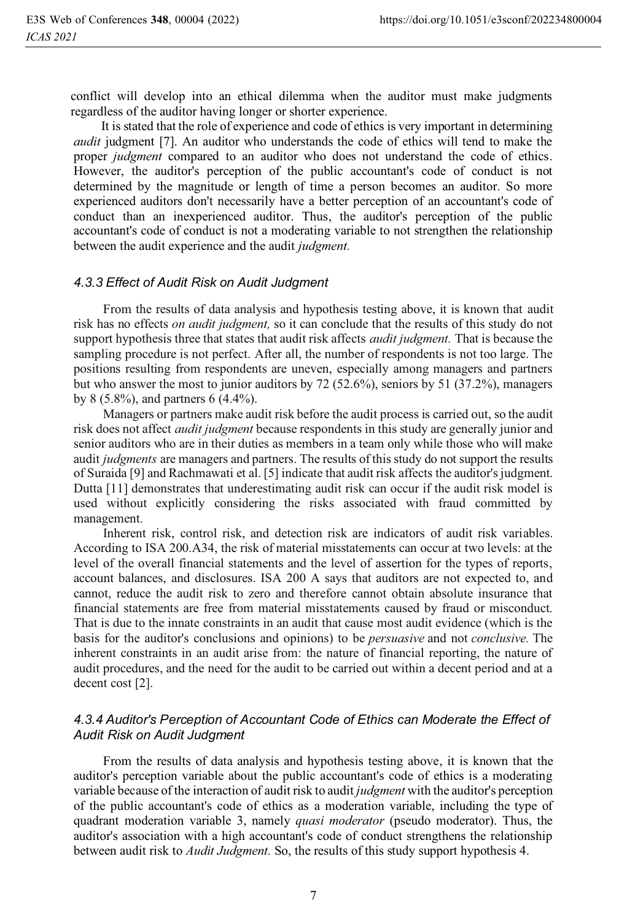conflict will develop into an ethical dilemma when the auditor must make judgments regardless of the auditor having longer or shorter experience.

 It is stated that the role of experience and code of ethics is very important in determining *audit* judgment [7]. An auditor who understands the code of ethics will tend to make the proper *judgment* compared to an auditor who does not understand the code of ethics. However, the auditor's perception of the public accountant's code of conduct is not determined by the magnitude or length of time a person becomes an auditor. So more experienced auditors don't necessarily have a better perception of an accountant's code of conduct than an inexperienced auditor. Thus, the auditor's perception of the public accountant's code of conduct is not a moderating variable to not strengthen the relationship between the audit experience and the audit *judgment.*

#### *4.3.3 Effect of Audit Risk on Audit Judgment*

From the results of data analysis and hypothesis testing above, it is known that audit risk has no effects *on audit judgment,* so it can conclude that the results of this study do not support hypothesis three that states that audit risk affects *audit judgment.* That is because the sampling procedure is not perfect. After all, the number of respondents is not too large. The positions resulting from respondents are uneven, especially among managers and partners but who answer the most to junior auditors by 72 (52.6%), seniors by 51 (37.2%), managers by 8 (5.8%), and partners 6 (4.4%).

Managers or partners make audit risk before the audit process is carried out, so the audit risk does not affect *audit judgment* because respondents in this study are generally junior and senior auditors who are in their duties as members in a team only while those who will make audit *judgments* are managers and partners. The results of this study do not support the results of Suraida [9] and Rachmawati et al. [5] indicate that audit risk affects the auditor's judgment. Dutta [11] demonstrates that underestimating audit risk can occur if the audit risk model is used without explicitly considering the risks associated with fraud committed by management.

Inherent risk, control risk, and detection risk are indicators of audit risk variables. According to ISA 200.A34, the risk of material misstatements can occur at two levels: at the level of the overall financial statements and the level of assertion for the types of reports, account balances, and disclosures. ISA 200 A says that auditors are not expected to, and cannot, reduce the audit risk to zero and therefore cannot obtain absolute insurance that financial statements are free from material misstatements caused by fraud or misconduct. That is due to the innate constraints in an audit that cause most audit evidence (which is the basis for the auditor's conclusions and opinions) to be *persuasive* and not *conclusive.* The inherent constraints in an audit arise from: the nature of financial reporting, the nature of audit procedures, and the need for the audit to be carried out within a decent period and at a decent cost [2].

# *4.3.4 Auditor's Perception of Accountant Code of Ethics can Moderate the Effect of Audit Risk on Audit Judgment*

From the results of data analysis and hypothesis testing above, it is known that the auditor's perception variable about the public accountant's code of ethics is a moderating variable because of the interaction of audit risk to audit *judgment* with the auditor's perception of the public accountant's code of ethics as a moderation variable, including the type of quadrant moderation variable 3, namely *quasi moderator* (pseudo moderator). Thus, the auditor's association with a high accountant's code of conduct strengthens the relationship between audit risk to *Audit Judgment.* So, the results of this study support hypothesis 4.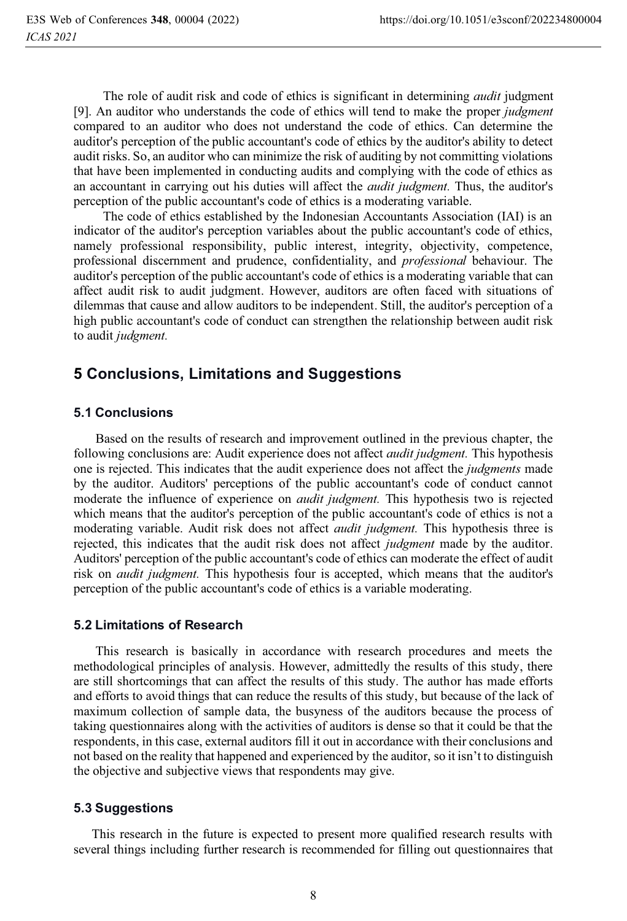The role of audit risk and code of ethics is significant in determining *audit* judgment [9]. An auditor who understands the code of ethics will tend to make the proper *judgment* compared to an auditor who does not understand the code of ethics. Can determine the auditor's perception of the public accountant's code of ethics by the auditor's ability to detect audit risks. So, an auditor who can minimize the risk of auditing by not committing violations that have been implemented in conducting audits and complying with the code of ethics as an accountant in carrying out his duties will affect the *audit judgment.* Thus, the auditor's perception of the public accountant's code of ethics is a moderating variable.

The code of ethics established by the Indonesian Accountants Association (IAI) is an indicator of the auditor's perception variables about the public accountant's code of ethics, namely professional responsibility, public interest, integrity, objectivity, competence, professional discernment and prudence, confidentiality, and *professional* behaviour. The auditor's perception of the public accountant's code of ethics is a moderating variable that can affect audit risk to audit judgment. However, auditors are often faced with situations of dilemmas that cause and allow auditors to be independent. Still, the auditor's perception of a high public accountant's code of conduct can strengthen the relationship between audit risk to audit *judgment.*

# **5 Conclusions, Limitations and Suggestions**

### **5.1 Conclusions**

 Based on the results of research and improvement outlined in the previous chapter, the following conclusions are: Audit experience does not affect *audit judgment.* This hypothesis one is rejected. This indicates that the audit experience does not affect the *judgments* made by the auditor. Auditors' perceptions of the public accountant's code of conduct cannot moderate the influence of experience on *audit judgment.* This hypothesis two is rejected which means that the auditor's perception of the public accountant's code of ethics is not a moderating variable. Audit risk does not affect *audit judgment.* This hypothesis three is rejected, this indicates that the audit risk does not affect *judgment* made by the auditor. Auditors' perception of the public accountant's code of ethics can moderate the effect of audit risk on *audit judgment.* This hypothesis four is accepted, which means that the auditor's perception of the public accountant's code of ethics is a variable moderating.

#### **5.2 Limitations of Research**

 This research is basically in accordance with research procedures and meets the methodological principles of analysis. However, admittedly the results of this study, there are still shortcomings that can affect the results of this study. The author has made efforts and efforts to avoid things that can reduce the results of this study, but because of the lack of maximum collection of sample data, the busyness of the auditors because the process of taking questionnaires along with the activities of auditors is dense so that it could be that the respondents, in this case, external auditors fill it out in accordance with their conclusions and not based on the reality that happened and experienced by the auditor, so it isn't to distinguish the objective and subjective views that respondents may give.

## **5.3 Suggestions**

This research in the future is expected to present more qualified research results with several things including further research is recommended for filling out questionnaires that